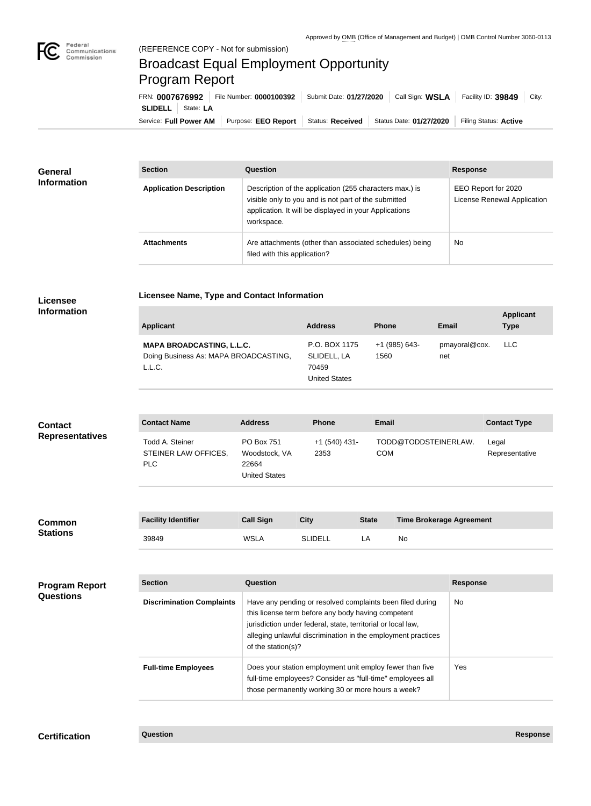

×

## Broadcast Equal Employment Opportunity Program Report

**Licensee Name, Type and Contact Information**

Service: Full Power AM | Purpose: EEO Report | Status: Received | Status Date: 01/27/2020 | Filing Status: Active **SLIDELL** State: **LA** FRN: **0007676992** File Number: **0000100392** Submit Date: **01/27/2020** Call Sign: **WSLA** Facility ID: **39849** City:

| <b>General</b><br><b>Information</b> | <b>Section</b>                 | Question                                                                                                                                                                                | <b>Response</b>                                    |
|--------------------------------------|--------------------------------|-----------------------------------------------------------------------------------------------------------------------------------------------------------------------------------------|----------------------------------------------------|
|                                      | <b>Application Description</b> | Description of the application (255 characters max.) is<br>visible only to you and is not part of the submitted<br>application. It will be displayed in your Applications<br>workspace. | EEO Report for 2020<br>License Renewal Application |
|                                      | <b>Attachments</b>             | Are attachments (other than associated schedules) being<br>filed with this application?                                                                                                 | <b>No</b>                                          |

## **Licensee Information**

| <b>Applicant</b>                                                                    | <b>Address</b>                                                | <b>Phone</b>          | <b>Email</b>         | <b>Applicant</b><br><b>Type</b> |
|-------------------------------------------------------------------------------------|---------------------------------------------------------------|-----------------------|----------------------|---------------------------------|
| <b>MAPA BROADCASTING, L.L.C.</b><br>Doing Business As: MAPA BROADCASTING,<br>L.L.C. | P.O. BOX 1175<br>SLIDELL, LA<br>70459<br><b>United States</b> | +1 (985) 643-<br>1560 | pmayoral@cox.<br>net | LLC                             |

| <b>Contact</b><br><b>Representatives</b> | <b>Contact Name</b>                             | <b>Address</b>                                                      | <b>Phone</b>            | <b>Email</b> |                                 | <b>Contact Type</b>     |
|------------------------------------------|-------------------------------------------------|---------------------------------------------------------------------|-------------------------|--------------|---------------------------------|-------------------------|
|                                          | Todd A. Steiner<br>STEINER LAW OFFICES,<br>PLC. | <b>PO Box 751</b><br>Woodstock, VA<br>22664<br><b>United States</b> | $+1$ (540) 431-<br>2353 | <b>COM</b>   | TODD@TODDSTEINERLAW.            | Legal<br>Representative |
|                                          |                                                 |                                                                     |                         |              |                                 |                         |
| <b>Common</b>                            | <b>Facility Identifier</b>                      | <b>Call Sign</b>                                                    | <b>City</b>             | <b>State</b> | <b>Time Brokerage Agreement</b> |                         |
| <b>Stations</b>                          | 39849                                           | <b>WSLA</b>                                                         | <b>SLIDELL</b>          | LA           | No                              |                         |

| <b>Program Report</b><br><b>Questions</b> | <b>Section</b>                   | <b>Question</b>                                                                                                                                                                                                                                                       | <b>Response</b> |
|-------------------------------------------|----------------------------------|-----------------------------------------------------------------------------------------------------------------------------------------------------------------------------------------------------------------------------------------------------------------------|-----------------|
|                                           | <b>Discrimination Complaints</b> | Have any pending or resolved complaints been filed during<br>this license term before any body having competent<br>jurisdiction under federal, state, territorial or local law,<br>alleging unlawful discrimination in the employment practices<br>of the station(s)? | No              |
|                                           | <b>Full-time Employees</b>       | Does your station employment unit employ fewer than five<br>full-time employees? Consider as "full-time" employees all<br>those permanently working 30 or more hours a week?                                                                                          | <b>Yes</b>      |

**Certification Question Response**